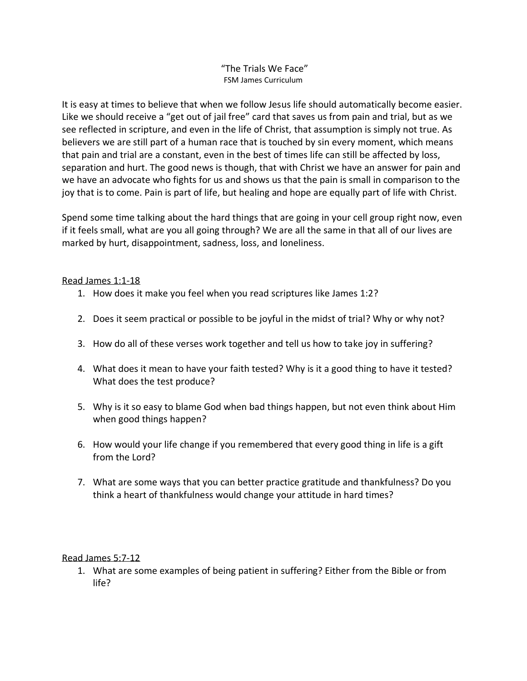"The Trials We Face" FSM James Curriculum

It is easy at times to believe that when we follow Jesus life should automatically become easier. Like we should receive a "get out of jail free" card that saves us from pain and trial, but as we see reflected in scripture, and even in the life of Christ, that assumption is simply not true. As believers we are still part of a human race that is touched by sin every moment, which means that pain and trial are a constant, even in the best of times life can still be affected by loss, separation and hurt. The good news is though, that with Christ we have an answer for pain and we have an advocate who fights for us and shows us that the pain is small in comparison to the joy that is to come. Pain is part of life, but healing and hope are equally part of life with Christ.

Spend some time talking about the hard things that are going in your cell group right now, even if it feels small, what are you all going through? We are all the same in that all of our lives are marked by hurt, disappointment, sadness, loss, and loneliness.

## Read James 1:1-18

- 1. How does it make you feel when you read scriptures like James 1:2?
- 2. Does it seem practical or possible to be joyful in the midst of trial? Why or why not?
- 3. How do all of these verses work together and tell us how to take joy in suffering?
- 4. What does it mean to have your faith tested? Why is it a good thing to have it tested? What does the test produce?
- 5. Why is it so easy to blame God when bad things happen, but not even think about Him when good things happen?
- 6. How would your life change if you remembered that every good thing in life is a gift from the Lord?
- 7. What are some ways that you can better practice gratitude and thankfulness? Do you think a heart of thankfulness would change your attitude in hard times?

## Read James 5:7-12

1. What are some examples of being patient in suffering? Either from the Bible or from life?